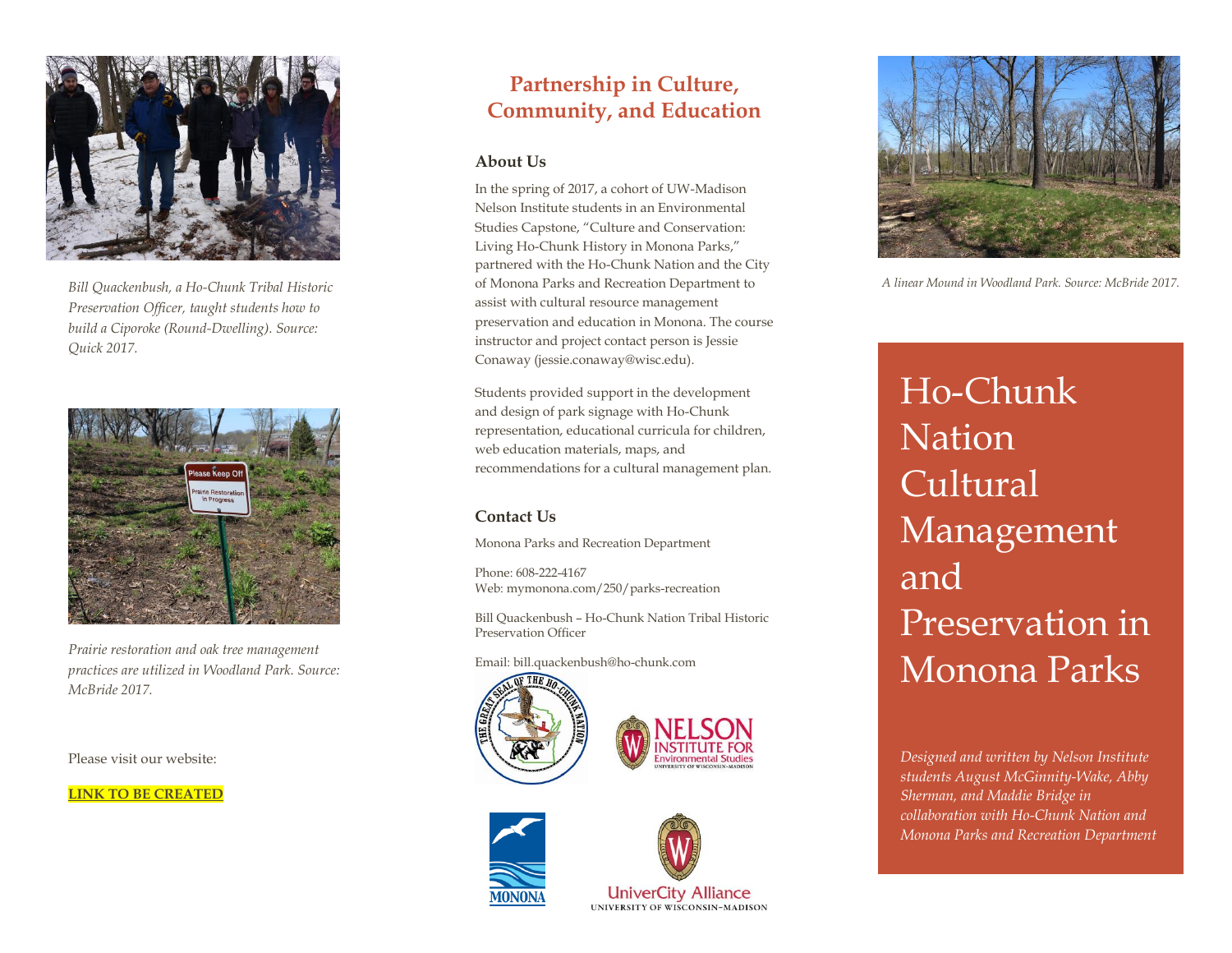

*Bill Quackenbush, a Ho-Chunk Tribal Historic Preservation Officer, taught students how to build a Ciporoke (Round-Dwelling). Source: Quick 2017.*



*Prairie restoration and oak tree management practices are utilized in Woodland Park. Source: McBride 2017.* 

Please visit our website:

**LINK TO BE CREATED**

#### **Partnership in Culture, Community, and Education**

#### **About Us**

In the spring of 2017, a cohort of UW-Madison Nelson Institute students in an Environmental Studies Capstone, "Culture and Conservation: Living Ho-Chunk History in Monona Parks," partnered with the Ho-Chunk Nation and the City of Monona Parks and Recreation Department to assist with cultural resource management preservation and education in Monona. The course instructor and project contact person is Jessie Conaway (jessie.conaway@wisc.edu).

Students provided support in the development and design of park signage with Ho-Chunk representation, educational curricula for children, web education materials, maps, and recommendations for a cultural management plan.

#### **Contact Us**

Monona Parks and Recreation Department

Phone: 608-222-4167 Web: mymonona.com/250/parks-recreation

Bill Quackenbush – Ho-Chunk Nation Tribal Historic Preservation Officer

Email: bill.quackenbush@ho-chunk.com









**UniverCity Alliance UNIVERSITY OF WISCONSIN-MADISON** 



*A linear Mound in Woodland Park. Source: McBride 2017.* 

Ho-Chunk Nation Cultural Management and Preservation in Monona Parks

*Designed and written by Nelson Institute students August McGinnity-Wake, Abby Sherman, and Maddie Bridge in collaboration with Ho-Chunk Nation and Monona Parks and Recreation Department*